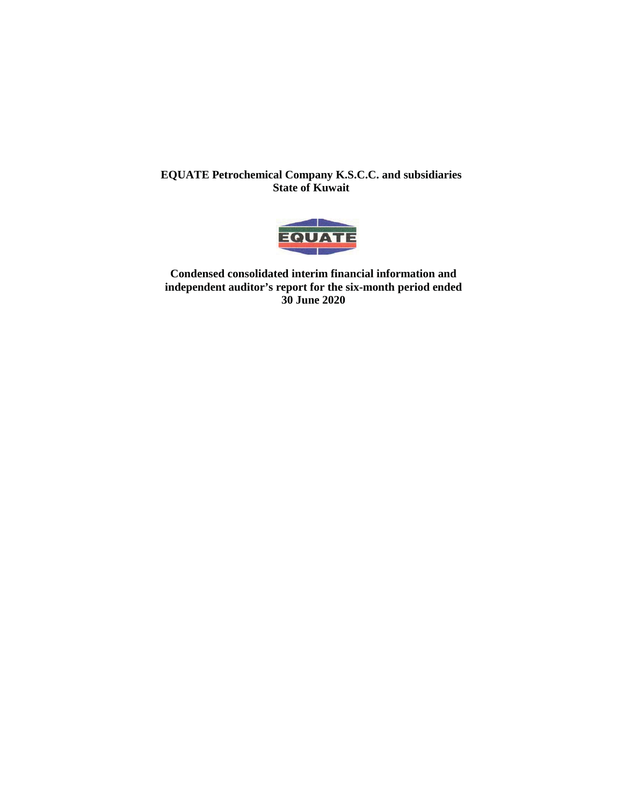

**Condensed consolidated interim financial information and independent auditor's report for the six-month period ended 30 June 2020**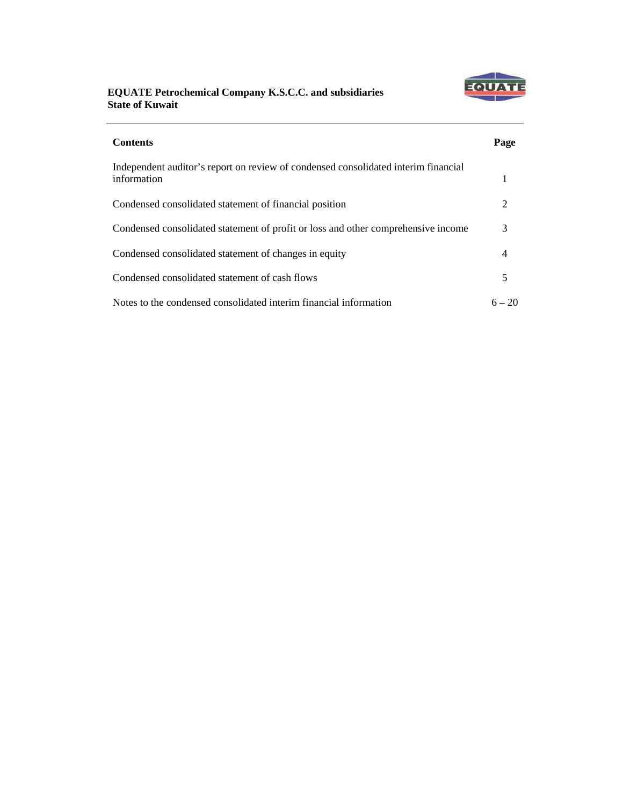

| <b>Contents</b>                                                                                   | Page     |
|---------------------------------------------------------------------------------------------------|----------|
| Independent auditor's report on review of condensed consolidated interim financial<br>information |          |
| Condensed consolidated statement of financial position                                            | 2        |
| Condensed consolidated statement of profit or loss and other comprehensive income                 | 3        |
| Condensed consolidated statement of changes in equity                                             | 4        |
| Condensed consolidated statement of cash flows                                                    | 5        |
| Notes to the condensed consolidated interim financial information                                 | $6 - 20$ |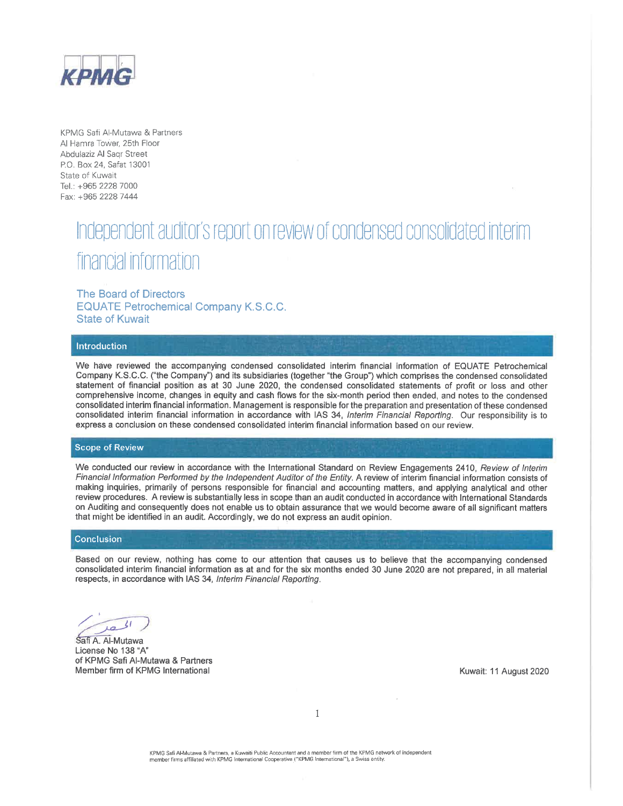

KPMG Safi Al-Mutawa & Partners Al Hamra Tower, 25th Floor Abdulaziz Al Sagr Street P.O. Box 24, Safat 13001 State of Kuwait Tel.: +965 2228 7000 Fax: +965 2228 7444

# Independent auditor's report on review of condensed consolidated interim financial information

The Board of Directors **EQUATE Petrochemical Company K.S.C.C. State of Kuwait** 

#### Introduction

We have reviewed the accompanying condensed consolidated interim financial information of EQUATE Petrochemical Company K.S.C.C. ("the Company") and its subsidiaries (together "the Group") which comprises the condensed consolidated statement of financial position as at 30 June 2020, the condensed consolidated statements of profit or loss and other comprehensive income, changes in equity and cash flows for the six-month period then ended, and notes to the condensed consolidated interim financial information. Management is responsible for the preparation and presentation of these condensed consolidated interim financial information in accordance with IAS 34, Interim Financial Reporting. Our responsibility is to express a conclusion on these condensed consolidated interim financial information based on our review.

### **Scope of Review**

We conducted our review in accordance with the International Standard on Review Engagements 2410, Review of Interim Financial Information Performed by the Independent Auditor of the Entity. A review of interim financial information consists of making inquiries, primarily of persons responsible for financial and accounting matters, and applying analytical and other review procedures. A review is substantially less in scope than an audit conducted in accordance with International Standards on Auditing and consequently does not enable us to obtain assurance that we would become aware of all significant matters that might be identified in an audit. Accordingly, we do not express an audit opinion.

#### Conclusion

Based on our review, nothing has come to our attention that causes us to believe that the accompanying condensed consolidated interim financial information as at and for the six months ended 30 June 2020 are not prepared, in all material respects, in accordance with IAS 34, Interim Financial Reporting.

 $\mathcal{L}$ ia

Safi A. Al-Mutawa License No 138 "A" of KPMG Safi Al-Mutawa & Partners Member firm of KPMG International

Kuwait: 11 August 2020

 $\mathbf{I}$ 

KPMG Safi Al-Mutawa & Partners, a Kuwaiti Public Accountant and a member firm of the KPMG network of independent member firms affiliated with KPMG International Cooperative ("KPMG International"), a Swiss entity.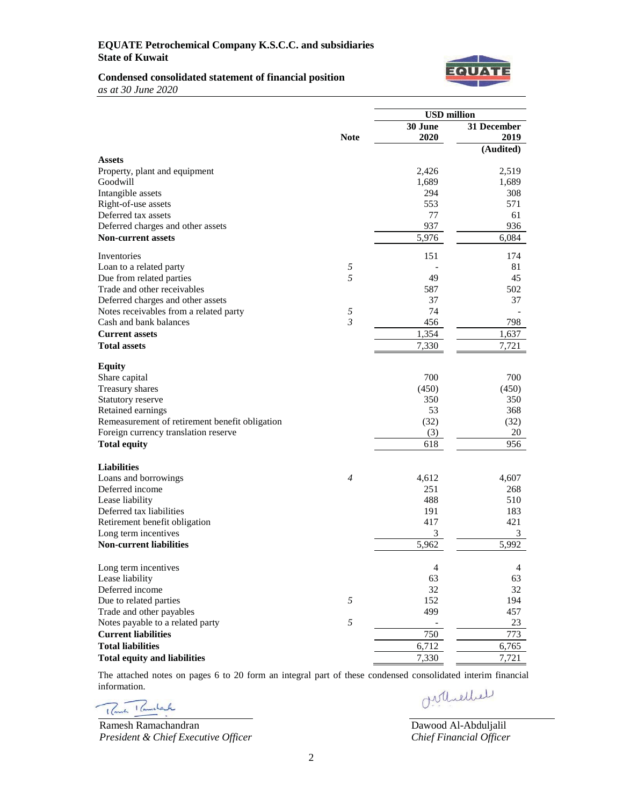

### **Condensed consolidated statement of financial position**

*as at 30 June 2020*

|                                                |             | <b>USD</b> million |                |
|------------------------------------------------|-------------|--------------------|----------------|
|                                                |             | 30 June            | 31 December    |
|                                                | <b>Note</b> | 2020               | 2019           |
|                                                |             |                    | (Audited)      |
| <b>Assets</b>                                  |             |                    |                |
| Property, plant and equipment<br>Goodwill      |             | 2,426<br>1,689     | 2,519<br>1,689 |
| Intangible assets                              |             | 294                | 308            |
| Right-of-use assets                            |             | 553                | 571            |
| Deferred tax assets                            |             | 77                 | 61             |
| Deferred charges and other assets              |             | 937                | 936            |
| <b>Non-current assets</b>                      |             | 5,976              | 6.084          |
|                                                |             |                    |                |
| Inventories                                    |             | 151                | 174            |
| Loan to a related party                        | 5           |                    | 81             |
| Due from related parties                       | 5           | 49                 | 45             |
| Trade and other receivables                    |             | 587                | 502            |
| Deferred charges and other assets              |             | 37                 | 37             |
| Notes receivables from a related party         | 5           | 74                 |                |
| Cash and bank balances                         | 3           | 456                | 798            |
| <b>Current assets</b>                          |             | 1,354              | 1,637          |
| <b>Total assets</b>                            |             | 7,330              | 7,721          |
| <b>Equity</b>                                  |             |                    |                |
| Share capital                                  |             | 700                | 700            |
| Treasury shares                                |             | (450)              | (450)          |
| Statutory reserve                              |             | 350                | 350            |
| Retained earnings                              |             | 53                 | 368            |
| Remeasurement of retirement benefit obligation |             | (32)               | (32)           |
| Foreign currency translation reserve           |             | (3)                | 20             |
| <b>Total equity</b>                            |             | 618                | 956            |
|                                                |             |                    |                |
| <b>Liabilities</b>                             |             |                    |                |
| Loans and borrowings                           | 4           | 4,612              | 4,607          |
| Deferred income                                |             | 251                | 268            |
| Lease liability                                |             | 488                | 510            |
| Deferred tax liabilities                       |             | 191                | 183            |
| Retirement benefit obligation                  |             | 417                | 421            |
| Long term incentives                           |             | 3                  | 3              |
| <b>Non-current liabilities</b>                 |             | 5,962              | 5,992          |
| Long term incentives                           |             | $\overline{4}$     |                |
| Lease liability                                |             | 63                 | 4<br>63        |
| Deferred income                                |             | 32                 | 32             |
| Due to related parties                         | 5           | 152                | 194            |
| Trade and other payables                       |             | 499                | 457            |
| Notes payable to a related party               | 5           |                    | 23             |
| <b>Current liabilities</b>                     |             | 750                | 773            |
| <b>Total liabilities</b>                       |             | 6,712              | 6,765          |
|                                                |             |                    |                |
| <b>Total equity and liabilities</b>            |             | 7,330              | 7,721          |

The attached notes on pages 6 to 20 form an integral part of these condensed consolidated interim financial information. Orthiellel

Rowsk Ramshark

Ramesh Ramachandran *President & Chief Executive Officer*

Dawood Al-Abduljalil *Chief Financial Officer*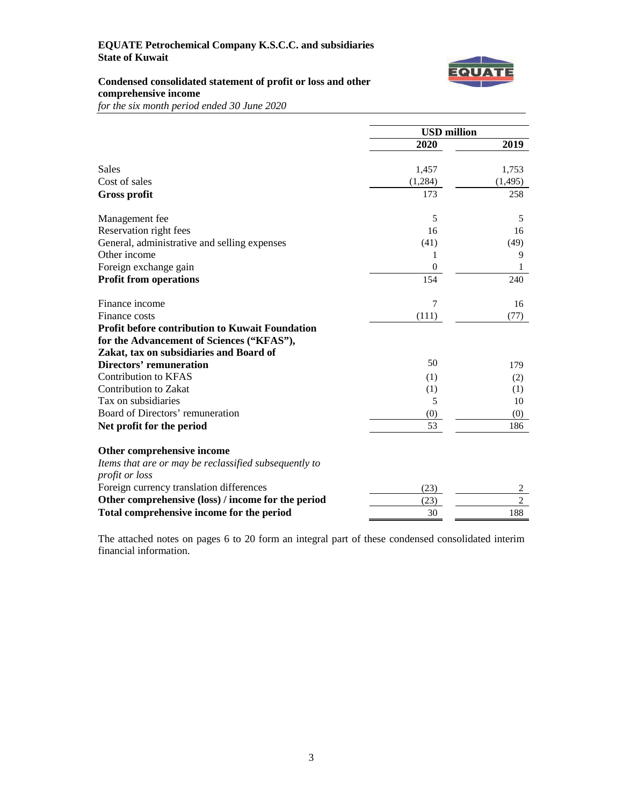

# **Condensed consolidated statement of profit or loss and other comprehensive income**

*for the six month period ended 30 June 2020*

|                                                        | <b>USD</b> million |            |
|--------------------------------------------------------|--------------------|------------|
|                                                        | 2020               | 2019       |
|                                                        |                    |            |
| <b>Sales</b>                                           | 1,457              | 1,753      |
| Cost of sales                                          | (1,284)            | (1, 495)   |
| <b>Gross profit</b>                                    | 173                | 258        |
| Management fee                                         | 5                  | 5          |
| Reservation right fees                                 | 16                 | 16         |
| General, administrative and selling expenses           | (41)               | (49)       |
| Other income                                           | 1                  | 9          |
| Foreign exchange gain                                  | $\boldsymbol{0}$   | 1          |
| <b>Profit from operations</b>                          | 154                | 240        |
| Finance income                                         | 7                  | 16         |
| Finance costs                                          | (111)              | (77)       |
| <b>Profit before contribution to Kuwait Foundation</b> |                    |            |
| for the Advancement of Sciences ("KFAS"),              |                    |            |
| Zakat, tax on subsidiaries and Board of                |                    |            |
| <b>Directors' remuneration</b>                         | 50                 | 179        |
| <b>Contribution to KFAS</b>                            | (1)                | (2)        |
| Contribution to Zakat                                  | (1)                | (1)        |
| Tax on subsidiaries                                    | 5                  | 10         |
| Board of Directors' remuneration                       | (0)                | (0)        |
| Net profit for the period                              | 53                 | 186        |
| Other comprehensive income                             |                    |            |
| Items that are or may be reclassified subsequently to  |                    |            |
| profit or loss                                         |                    |            |
| Foreign currency translation differences               | (23)               | 2          |
| Other comprehensive (loss) / income for the period     | (23)               | $\sqrt{2}$ |
| Total comprehensive income for the period              | 30                 | 188        |

The attached notes on pages 6 to 20 form an integral part of these condensed consolidated interim financial information.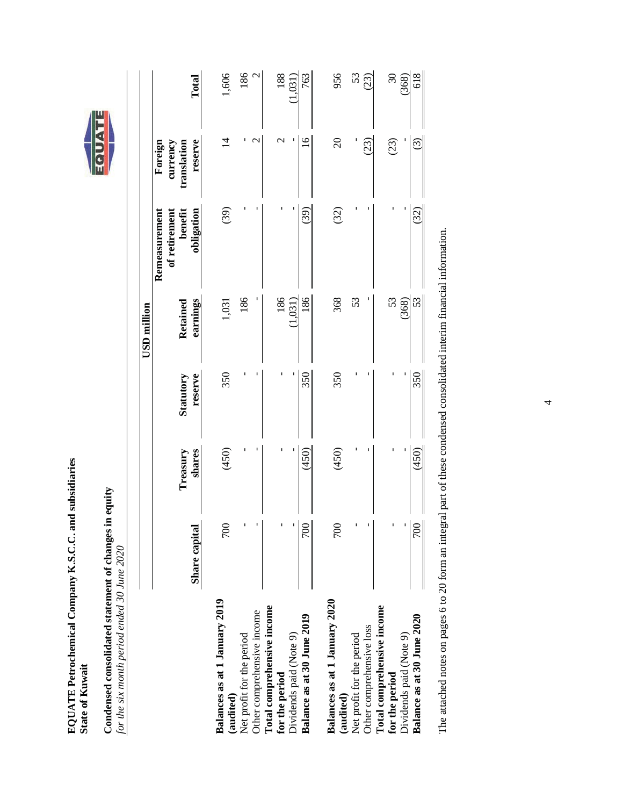| ad su                     |   |
|---------------------------|---|
|                           |   |
|                           |   |
| $K.S.C.$ and              |   |
|                           |   |
|                           |   |
|                           |   |
|                           |   |
| ؚ<br>$\ddot{\phantom{0}}$ |   |
| Ě                         |   |
|                           |   |
|                           |   |
|                           |   |
|                           |   |
| ľ                         |   |
| 20h                       | ٦ |
|                           |   |
| <b>FREEZING</b>           |   |



Condensed consolidated statement of changes in equity<br>for the six month period ended 30 June 2020 **Condensed consolidated statement of changes in equity** *for the six month period ended 30 June 2020*

|                                                          |                  |                    |                             | USD million          |                                                         |                                               |                      |
|----------------------------------------------------------|------------------|--------------------|-----------------------------|----------------------|---------------------------------------------------------|-----------------------------------------------|----------------------|
|                                                          | Share capital    | shares<br>Treasury | reserve<br><b>Statutory</b> | earnings<br>Retained | obligation<br>benefit<br>of retirement<br>Remeasurement | reserve<br>Foreign<br>translation<br>currency | Total                |
| Balances as at 1 January 2019<br>(audited)               | $\approx$        | (450)              | 350                         | 1,031                | (39)                                                    | $\vec{v}$                                     | 1,606                |
| Net profit for the period                                |                  |                    |                             | 186                  |                                                         | ٢                                             | 186<br>$\mathcal{L}$ |
| Total comprehensive income<br>Other comprehensive income |                  |                    |                             |                      |                                                         |                                               |                      |
| for the period                                           |                  |                    |                             | 186                  |                                                         | $\mathcal{C}$                                 | 188                  |
| Dividends paid (Note 9)                                  |                  |                    |                             | 1,031)               |                                                         |                                               | (150, 0)             |
| Balance as at 30 June 2019                               | $\approx$        | (450)              | 350                         | 186                  | (39)                                                    | $\overline{a}$                                | 763                  |
| Balances as at 1 January 2020<br>(audited)               | $\overline{5}$   | (450)              | 350                         | 368                  | (32)                                                    | $\Omega$                                      | 956                  |
| Net profit for the period                                |                  |                    |                             | 53                   |                                                         |                                               | 53                   |
| Other comprehensive loss                                 |                  |                    |                             |                      |                                                         | 23)                                           | (5)                  |
| Total comprehensive income<br>for the period             |                  |                    |                             | 53                   |                                                         | (23)                                          | 30                   |
| Dividends paid (Note 9)                                  |                  |                    |                             | (368)                |                                                         |                                               | 368)                 |
| Balance as at 30 June 2020                               | $\overline{700}$ | (450)              | 350                         | 53                   | (32)                                                    | ⊙                                             | 618                  |
|                                                          |                  |                    |                             |                      |                                                         |                                               |                      |

The attached notes on pages 6 to 20 form an integral part of these condensed consolidated interim financial information. The attached notes on pages 6 to 20 form an integral part of these condensed consolidated interim financial information.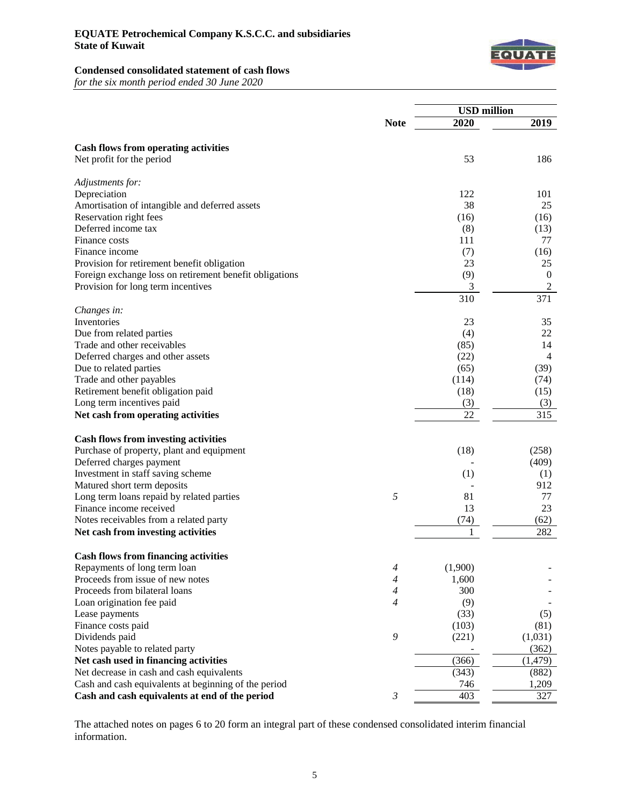

# **Condensed consolidated statement of cash flows**

*for the six month period ended 30 June 2020*

|                                                                                                   |                | <b>USD</b> million |                   |
|---------------------------------------------------------------------------------------------------|----------------|--------------------|-------------------|
|                                                                                                   | <b>Note</b>    | 2020               | 2019              |
|                                                                                                   |                |                    |                   |
| <b>Cash flows from operating activities</b>                                                       |                |                    |                   |
| Net profit for the period                                                                         |                | 53                 | 186               |
| Adjustments for:                                                                                  |                |                    |                   |
| Depreciation                                                                                      |                | 122                | 101               |
| Amortisation of intangible and deferred assets                                                    |                | 38                 | 25                |
| Reservation right fees                                                                            |                | (16)               | (16)              |
| Deferred income tax                                                                               |                | (8)                | (13)              |
| Finance costs                                                                                     |                | 111                | 77                |
| Finance income                                                                                    |                | (7)                | (16)              |
| Provision for retirement benefit obligation                                                       |                | 23                 | 25                |
| Foreign exchange loss on retirement benefit obligations                                           |                | (9)                | $\boldsymbol{0}$  |
| Provision for long term incentives                                                                |                | 3                  | $\sqrt{2}$        |
|                                                                                                   |                | 310                | 371               |
| Changes in:                                                                                       |                |                    |                   |
| Inventories                                                                                       |                | 23                 | 35                |
| Due from related parties                                                                          |                | (4)                | 22                |
| Trade and other receivables                                                                       |                | (85)               | 14                |
| Deferred charges and other assets                                                                 |                | (22)               | $\overline{4}$    |
| Due to related parties                                                                            |                | (65)               | (39)              |
| Trade and other payables                                                                          |                | (114)              | (74)              |
| Retirement benefit obligation paid                                                                |                | (18)               | (15)              |
| Long term incentives paid                                                                         |                | (3)                | (3)               |
| Net cash from operating activities                                                                |                | 22                 | 315               |
| <b>Cash flows from investing activities</b>                                                       |                |                    |                   |
| Purchase of property, plant and equipment                                                         |                | (18)               | (258)             |
| Deferred charges payment                                                                          |                |                    | (409)             |
| Investment in staff saving scheme                                                                 |                | (1)                | (1)               |
| Matured short term deposits                                                                       |                |                    | 912               |
| Long term loans repaid by related parties                                                         | 5              | 81                 | 77                |
| Finance income received                                                                           |                | 13                 | 23                |
| Notes receivables from a related party                                                            |                | (74)               | (62)              |
| Net cash from investing activities                                                                |                | 1                  | 282               |
|                                                                                                   |                |                    |                   |
| <b>Cash flows from financing activities</b>                                                       |                |                    |                   |
| Repayments of long term loan<br>Proceeds from issue of new notes                                  | $\overline{4}$ | (1,900)            |                   |
|                                                                                                   | 4              | 1,600              |                   |
| Proceeds from bilateral loans                                                                     | 4              | 300                |                   |
| Loan origination fee paid                                                                         | 4              | (9)                |                   |
| Lease payments<br>Finance costs paid                                                              |                | (33)               | (5)               |
| Dividends paid                                                                                    | 9              | (103)<br>(221)     | (81)<br>(1,031)   |
|                                                                                                   |                |                    |                   |
| Notes payable to related party                                                                    |                | (366)              | (362)<br>(1, 479) |
| Net cash used in financing activities                                                             |                |                    |                   |
| Net decrease in cash and cash equivalents<br>Cash and cash equivalents at beginning of the period |                | (343)              | (882)<br>1,209    |
|                                                                                                   | $\mathfrak{Z}$ | 746<br>403         | 327               |
| Cash and cash equivalents at end of the period                                                    |                |                    |                   |

The attached notes on pages 6 to 20 form an integral part of these condensed consolidated interim financial information.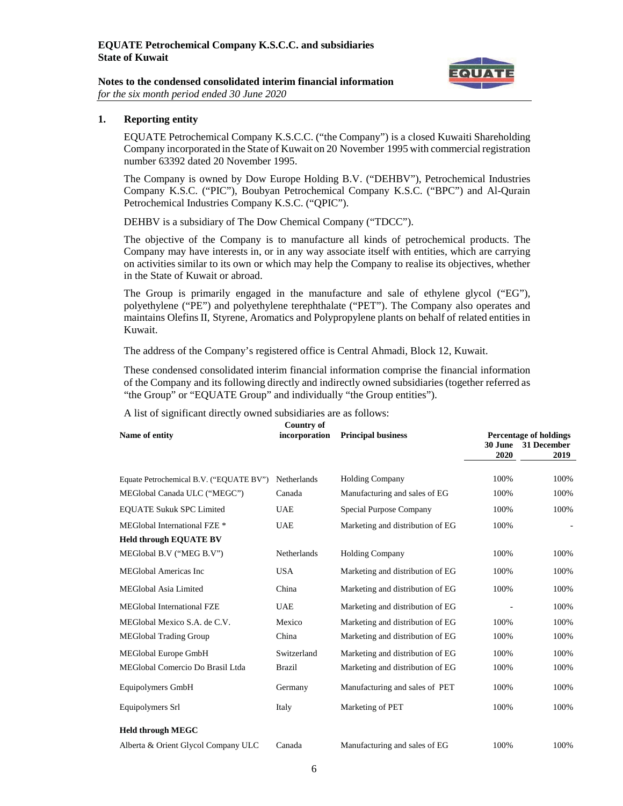

#### **Notes to the condensed consolidated interim financial information** *for the six month period ended 30 June 2020*

# **1. Reporting entity**

EQUATE Petrochemical Company K.S.C.C. ("the Company") is a closed Kuwaiti Shareholding Company incorporated in the State of Kuwait on 20 November 1995 with commercial registration number 63392 dated 20 November 1995.

The Company is owned by Dow Europe Holding B.V. ("DEHBV"), Petrochemical Industries Company K.S.C. ("PIC"), Boubyan Petrochemical Company K.S.C. ("BPC") and Al-Qurain Petrochemical Industries Company K.S.C. ("QPIC").

DEHBV is a subsidiary of The Dow Chemical Company ("TDCC").

The objective of the Company is to manufacture all kinds of petrochemical products. The Company may have interests in, or in any way associate itself with entities, which are carrying on activities similar to its own or which may help the Company to realise its objectives, whether in the State of Kuwait or abroad.

The Group is primarily engaged in the manufacture and sale of ethylene glycol ("EG"), polyethylene ("PE") and polyethylene terephthalate ("PET"). The Company also operates and maintains Olefins II, Styrene, Aromatics and Polypropylene plants on behalf of related entities in Kuwait.

The address of the Company's registered office is Central Ahmadi, Block 12, Kuwait.

These condensed consolidated interim financial information comprise the financial information of the Company and its following directly and indirectly owned subsidiaries (together referred as "the Group" or "EQUATE Group" and individually "the Group entities").

| Name of entity                          | <b>Country of</b><br>incorporation | <b>Principal business</b>        |                        | <b>Percentage of holdings</b> |
|-----------------------------------------|------------------------------------|----------------------------------|------------------------|-------------------------------|
|                                         |                                    |                                  | <b>30 June</b><br>2020 | 31 December<br>2019           |
| Equate Petrochemical B.V. ("EQUATE BV") | Netherlands                        | <b>Holding Company</b>           | 100%                   | 100%                          |
| MEGlobal Canada ULC ("MEGC")            | Canada                             | Manufacturing and sales of EG    | 100%                   | 100%                          |
| <b>EQUATE Sukuk SPC Limited</b>         | <b>UAE</b>                         | Special Purpose Company          | 100%                   | 100%                          |
| MEGlobal International FZE <sup>*</sup> | <b>UAE</b>                         | Marketing and distribution of EG | 100%                   |                               |
| <b>Held through EQUATE BV</b>           |                                    |                                  |                        |                               |
| MEGlobal B.V ("MEG B.V")                | Netherlands                        | <b>Holding Company</b>           | 100%                   | 100%                          |
| MEGlobal Americas Inc                   | <b>USA</b>                         | Marketing and distribution of EG | 100%                   | 100%                          |
| MEGlobal Asia Limited                   | China                              | Marketing and distribution of EG | 100%                   | 100%                          |
| <b>MEGlobal International FZE</b>       | <b>UAE</b>                         | Marketing and distribution of EG |                        | 100%                          |
| MEGlobal Mexico S.A. de C.V.            | Mexico                             | Marketing and distribution of EG | 100%                   | 100%                          |
| <b>MEGlobal Trading Group</b>           | China                              | Marketing and distribution of EG | 100%                   | 100%                          |
| MEGlobal Europe GmbH                    | Switzerland                        | Marketing and distribution of EG | 100%                   | 100%                          |
| MEGlobal Comercio Do Brasil Ltda        | <b>Brazil</b>                      | Marketing and distribution of EG | 100%                   | 100%                          |
| Equipolymers GmbH                       | Germany                            | Manufacturing and sales of PET   | 100%                   | 100%                          |
| Equipolymers Srl                        | Italy                              | Marketing of PET                 | 100%                   | 100%                          |
| <b>Held through MEGC</b>                |                                    |                                  |                        |                               |
| Alberta & Orient Glycol Company ULC     | Canada                             | Manufacturing and sales of EG    | 100%                   | 100%                          |
|                                         |                                    |                                  |                        |                               |

A list of significant directly owned subsidiaries are as follows: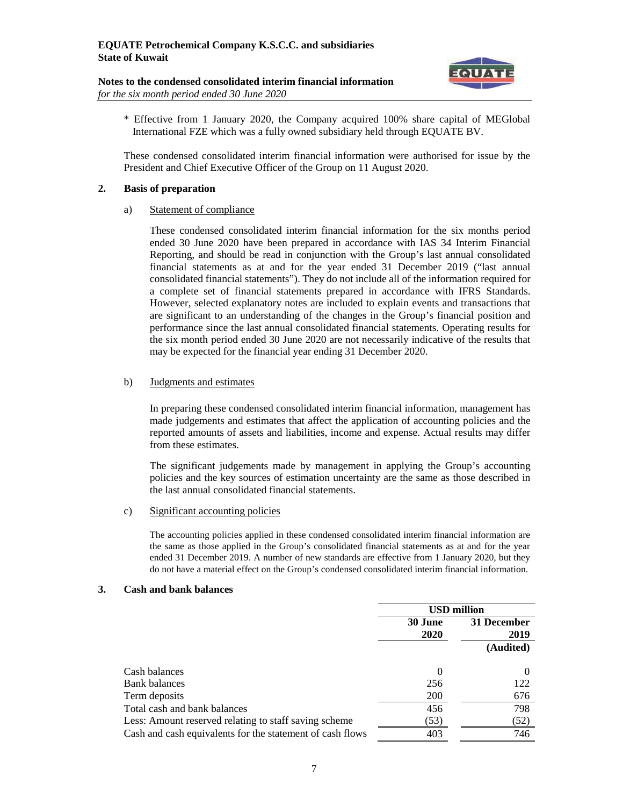

- **Notes to the condensed consolidated interim financial information** *for the six month period ended 30 June 2020*
	- \* Effective from 1 January 2020, the Company acquired 100% share capital of MEGlobal International FZE which was a fully owned subsidiary held through EQUATE BV.

These condensed consolidated interim financial information were authorised for issue by the President and Chief Executive Officer of the Group on 11 August 2020.

# **2. Basis of preparation**

a) Statement of compliance

These condensed consolidated interim financial information for the six months period ended 30 June 2020 have been prepared in accordance with IAS 34 Interim Financial Reporting, and should be read in conjunction with the Group's last annual consolidated financial statements as at and for the year ended 31 December 2019 ("last annual consolidated financial statements"). They do not include all of the information required for a complete set of financial statements prepared in accordance with IFRS Standards. However, selected explanatory notes are included to explain events and transactions that are significant to an understanding of the changes in the Group's financial position and performance since the last annual consolidated financial statements. Operating results for the six month period ended 30 June 2020 are not necessarily indicative of the results that may be expected for the financial year ending 31 December 2020.

# b) Judgments and estimates

In preparing these condensed consolidated interim financial information, management has made judgements and estimates that affect the application of accounting policies and the reported amounts of assets and liabilities, income and expense. Actual results may differ from these estimates.

The significant judgements made by management in applying the Group's accounting policies and the key sources of estimation uncertainty are the same as those described in the last annual consolidated financial statements.

c) Significant accounting policies

The accounting policies applied in these condensed consolidated interim financial information are the same as those applied in the Group's consolidated financial statements as at and for the year ended 31 December 2019. A number of new standards are effective from 1 January 2020, but they do not have a material effect on the Group's condensed consolidated interim financial information.

### **3. Cash and bank balances**

|                                                           |         | <b>USD million</b> |
|-----------------------------------------------------------|---------|--------------------|
|                                                           | 30 June | 31 December        |
|                                                           | 2020    | 2019               |
|                                                           |         | (Audited)          |
| Cash balances                                             |         |                    |
| <b>Bank</b> balances                                      | 256     | 122                |
| Term deposits                                             | 200     | 676                |
| Total cash and bank balances                              | 456     | 798                |
| Less: Amount reserved relating to staff saving scheme     | (53)    | (52)               |
| Cash and cash equivalents for the statement of cash flows | 403     | 746                |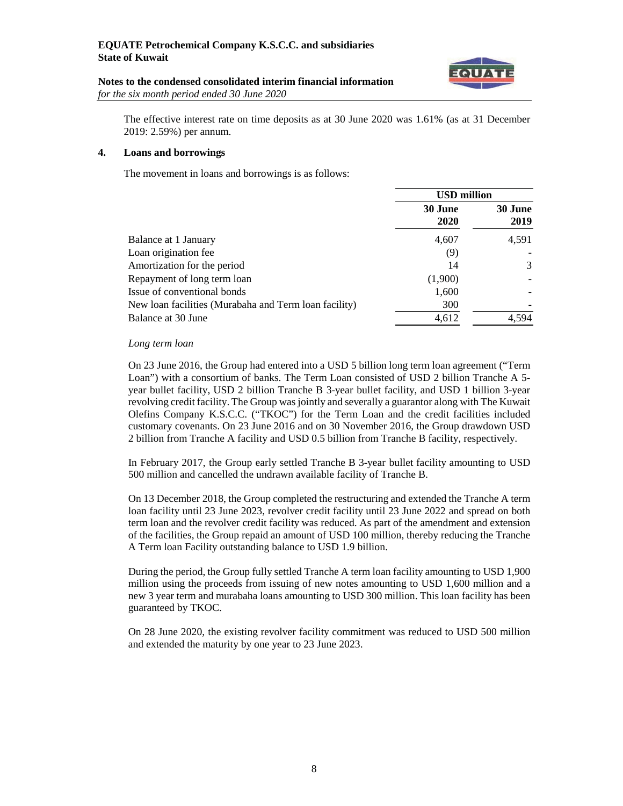

#### **Notes to the condensed consolidated interim financial information** *for the six month period ended 30 June 2020*

The effective interest rate on time deposits as at 30 June 2020 was 1.61% (as at 31 December 2019: 2.59%) per annum.

#### **4. Loans and borrowings**

The movement in loans and borrowings is as follows:

|                                                       | <b>USD million</b> |                        |
|-------------------------------------------------------|--------------------|------------------------|
|                                                       | 30 June<br>2020    | <b>30 June</b><br>2019 |
| Balance at 1 January                                  | 4,607              | 4,591                  |
| Loan origination fee                                  | (9)                |                        |
| Amortization for the period                           | 14                 | 3                      |
| Repayment of long term loan                           | (1,900)            |                        |
| Issue of conventional bonds                           | 1,600              |                        |
| New loan facilities (Murabaha and Term loan facility) | 300                |                        |
| Balance at 30 June                                    | 4.612              | 4.594                  |

#### *Long term loan*

On 23 June 2016, the Group had entered into a USD 5 billion long term loan agreement ("Term Loan") with a consortium of banks. The Term Loan consisted of USD 2 billion Tranche A 5year bullet facility, USD 2 billion Tranche B 3-year bullet facility, and USD 1 billion 3-year revolving credit facility. The Group was jointly and severally a guarantor along with The Kuwait Olefins Company K.S.C.C. ("TKOC") for the Term Loan and the credit facilities included customary covenants. On 23 June 2016 and on 30 November 2016, the Group drawdown USD 2 billion from Tranche A facility and USD 0.5 billion from Tranche B facility, respectively.

In February 2017, the Group early settled Tranche B 3-year bullet facility amounting to USD 500 million and cancelled the undrawn available facility of Tranche B.

On 13 December 2018, the Group completed the restructuring and extended the Tranche A term loan facility until 23 June 2023, revolver credit facility until 23 June 2022 and spread on both term loan and the revolver credit facility was reduced. As part of the amendment and extension of the facilities, the Group repaid an amount of USD 100 million, thereby reducing the Tranche A Term loan Facility outstanding balance to USD 1.9 billion.

During the period, the Group fully settled Tranche A term loan facility amounting to USD 1,900 million using the proceeds from issuing of new notes amounting to USD 1,600 million and a new 3 year term and murabaha loans amounting to USD 300 million. This loan facility has been guaranteed by TKOC.

On 28 June 2020, the existing revolver facility commitment was reduced to USD 500 million and extended the maturity by one year to 23 June 2023.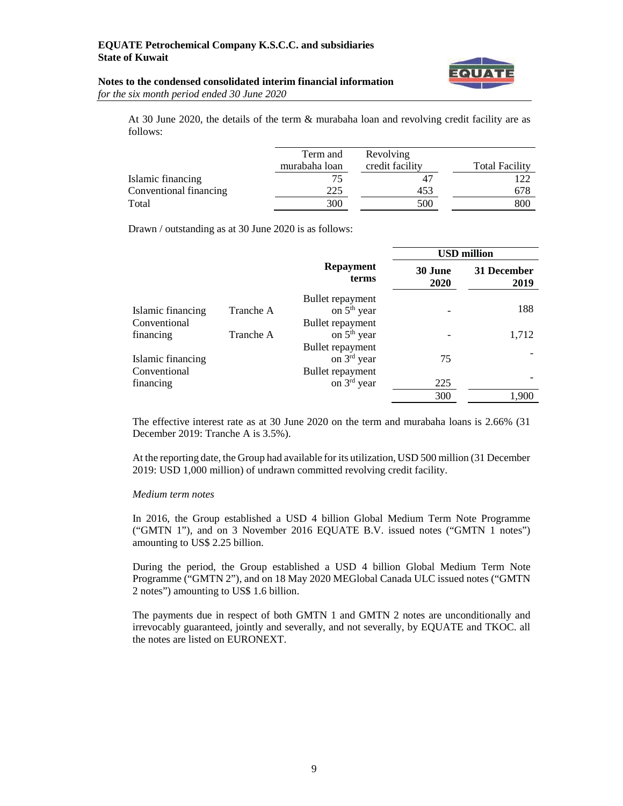

#### **Notes to the condensed consolidated interim financial information** *for the six month period ended 30 June 2020*

At 30 June 2020, the details of the term & murabaha loan and revolving credit facility are as follows:

|                        | Term and<br>murabaha loan | Revolving<br>credit facility | <b>Total Facility</b> |
|------------------------|---------------------------|------------------------------|-----------------------|
| Islamic financing      | 75                        |                              |                       |
| Conventional financing | 225                       | 453                          | 678                   |
| Total                  | 300                       | 500                          | 800                   |

Drawn / outstanding as at 30 June 2020 is as follows:

|                   |           |                           | <b>USD million</b> |                     |
|-------------------|-----------|---------------------------|--------------------|---------------------|
|                   |           | <b>Repayment</b><br>terms | 30 June<br>2020    | 31 December<br>2019 |
|                   |           | Bullet repayment          |                    |                     |
| Islamic financing | Tranche A | on 5 <sup>th</sup> year   |                    | 188                 |
| Conventional      |           | Bullet repayment          |                    |                     |
| financing         | Tranche A | on 5 <sup>th</sup> year   |                    | 1,712               |
|                   |           | Bullet repayment          |                    |                     |
| Islamic financing |           | on $3rd$ year             | 75                 |                     |
| Conventional      |           | Bullet repayment          |                    |                     |
| financing         |           | on $3rd$ year             | 225                |                     |
|                   |           |                           | 300                | 1.900               |

The effective interest rate as at 30 June 2020 on the term and murabaha loans is 2.66% (31 December 2019: Tranche A is 3.5%).

At the reporting date, the Group had available for its utilization, USD 500 million (31 December 2019: USD 1,000 million) of undrawn committed revolving credit facility.

#### *Medium term notes*

In 2016, the Group established a USD 4 billion Global Medium Term Note Programme ("GMTN 1"), and on 3 November 2016 EQUATE B.V. issued notes ("GMTN 1 notes") amounting to US\$ 2.25 billion.

During the period, the Group established a USD 4 billion Global Medium Term Note Programme ("GMTN 2"), and on 18 May 2020 MEGlobal Canada ULC issued notes ("GMTN 2 notes") amounting to US\$ 1.6 billion.

The payments due in respect of both GMTN 1 and GMTN 2 notes are unconditionally and irrevocably guaranteed, jointly and severally, and not severally, by EQUATE and TKOC. all the notes are listed on EURONEXT.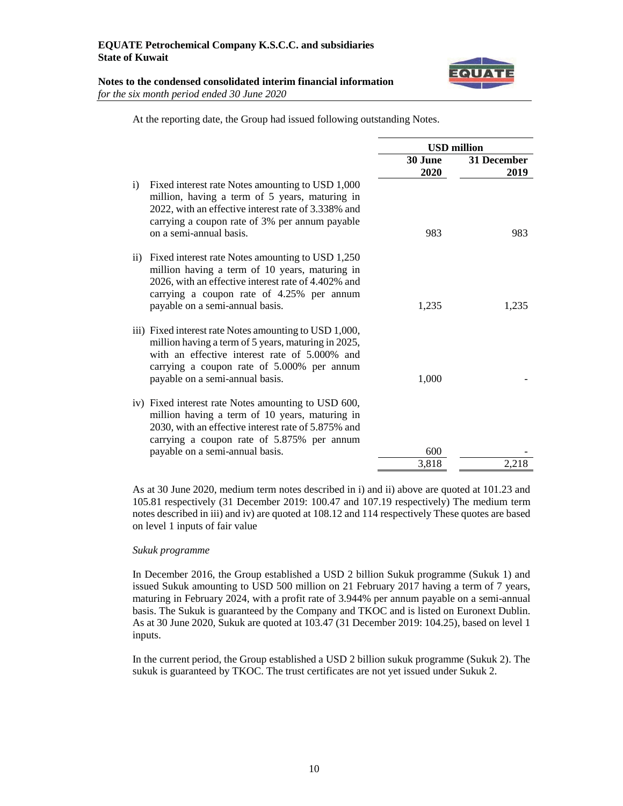

### **Notes to the condensed consolidated interim financial information** *for the six month period ended 30 June 2020*

| At the reporting date, the Group had issued following outstanding Notes. |
|--------------------------------------------------------------------------|
|--------------------------------------------------------------------------|

|                                                                                                                                                                                                                                                        | <b>USD</b> million |                     |
|--------------------------------------------------------------------------------------------------------------------------------------------------------------------------------------------------------------------------------------------------------|--------------------|---------------------|
|                                                                                                                                                                                                                                                        | 30 June<br>2020    | 31 December<br>2019 |
| Fixed interest rate Notes amounting to USD 1,000<br>i)<br>million, having a term of 5 years, maturing in<br>2022, with an effective interest rate of 3.338% and<br>carrying a coupon rate of 3% per annum payable<br>on a semi-annual basis.           | 983                | 983                 |
| Fixed interest rate Notes amounting to USD 1,250<br>$\rm ii)$<br>million having a term of 10 years, maturing in<br>2026, with an effective interest rate of 4.402% and<br>carrying a coupon rate of 4.25% per annum<br>payable on a semi-annual basis. | 1,235              | 1.235               |
| iii) Fixed interest rate Notes amounting to USD 1,000,<br>million having a term of 5 years, maturing in 2025,<br>with an effective interest rate of 5,000% and<br>carrying a coupon rate of 5.000% per annum<br>payable on a semi-annual basis.        | 1,000              |                     |
| iv) Fixed interest rate Notes amounting to USD 600,<br>million having a term of 10 years, maturing in<br>2030, with an effective interest rate of 5.875% and<br>carrying a coupon rate of 5.875% per annum<br>payable on a semi-annual basis.          | 600                |                     |
|                                                                                                                                                                                                                                                        | 3,818              | 2,218               |
|                                                                                                                                                                                                                                                        |                    |                     |

As at 30 June 2020, medium term notes described in i) and ii) above are quoted at 101.23 and 105.81 respectively (31 December 2019: 100.47 and 107.19 respectively) The medium term notes described in iii) and iv) are quoted at 108.12 and 114 respectively These quotes are based on level 1 inputs of fair value

### *Sukuk programme*

In December 2016, the Group established a USD 2 billion Sukuk programme (Sukuk 1) and issued Sukuk amounting to USD 500 million on 21 February 2017 having a term of 7 years, maturing in February 2024, with a profit rate of 3.944% per annum payable on a semi-annual basis. The Sukuk is guaranteed by the Company and TKOC and is listed on Euronext Dublin. As at 30 June 2020, Sukuk are quoted at 103.47 (31 December 2019: 104.25), based on level 1 inputs.

In the current period, the Group established a USD 2 billion sukuk programme (Sukuk 2). The sukuk is guaranteed by TKOC. The trust certificates are not yet issued under Sukuk 2.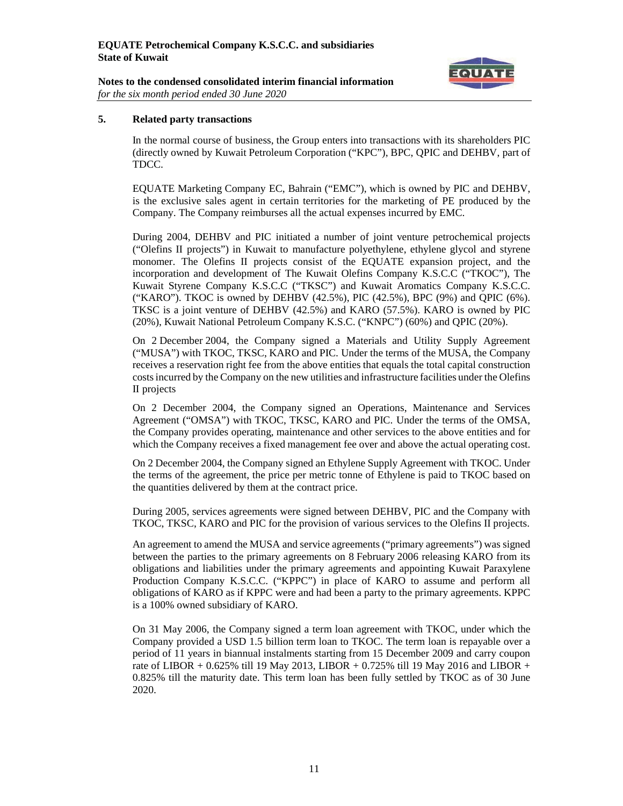

### **Notes to the condensed consolidated interim financial information** *for the six month period ended 30 June 2020*

# **5. Related party transactions**

In the normal course of business, the Group enters into transactions with its shareholders PIC (directly owned by Kuwait Petroleum Corporation ("KPC"), BPC, QPIC and DEHBV, part of TDCC.

EQUATE Marketing Company EC, Bahrain ("EMC"), which is owned by PIC and DEHBV, is the exclusive sales agent in certain territories for the marketing of PE produced by the Company. The Company reimburses all the actual expenses incurred by EMC.

During 2004, DEHBV and PIC initiated a number of joint venture petrochemical projects ("Olefins II projects") in Kuwait to manufacture polyethylene, ethylene glycol and styrene monomer. The Olefins II projects consist of the EQUATE expansion project, and the incorporation and development of The Kuwait Olefins Company K.S.C.C ("TKOC"), The Kuwait Styrene Company K.S.C.C ("TKSC") and Kuwait Aromatics Company K.S.C.C. ("KARO"). TKOC is owned by DEHBV (42.5%), PIC (42.5%), BPC (9%) and QPIC (6%). TKSC is a joint venture of DEHBV (42.5%) and KARO (57.5%). KARO is owned by PIC (20%), Kuwait National Petroleum Company K.S.C. ("KNPC") (60%) and QPIC (20%).

On 2 December 2004, the Company signed a Materials and Utility Supply Agreement ("MUSA") with TKOC, TKSC, KARO and PIC. Under the terms of the MUSA, the Company receives a reservation right fee from the above entities that equals the total capital construction costs incurred by the Company on the new utilities and infrastructure facilities under the Olefins II projects

On 2 December 2004, the Company signed an Operations, Maintenance and Services Agreement ("OMSA") with TKOC, TKSC, KARO and PIC. Under the terms of the OMSA, the Company provides operating, maintenance and other services to the above entities and for which the Company receives a fixed management fee over and above the actual operating cost.

On 2 December 2004, the Company signed an Ethylene Supply Agreement with TKOC. Under the terms of the agreement, the price per metric tonne of Ethylene is paid to TKOC based on the quantities delivered by them at the contract price.

During 2005, services agreements were signed between DEHBV, PIC and the Company with TKOC, TKSC, KARO and PIC for the provision of various services to the Olefins II projects.

An agreement to amend the MUSA and service agreements ("primary agreements") was signed between the parties to the primary agreements on 8 February 2006 releasing KARO from its obligations and liabilities under the primary agreements and appointing Kuwait Paraxylene Production Company K.S.C.C. ("KPPC") in place of KARO to assume and perform all obligations of KARO as if KPPC were and had been a party to the primary agreements. KPPC is a 100% owned subsidiary of KARO.

On 31 May 2006, the Company signed a term loan agreement with TKOC, under which the Company provided a USD 1.5 billion term loan to TKOC. The term loan is repayable over a period of 11 years in biannual instalments starting from 15 December 2009 and carry coupon rate of LIBOR + 0.625% till 19 May 2013, LIBOR + 0.725% till 19 May 2016 and LIBOR + 0.825% till the maturity date. This term loan has been fully settled by TKOC as of 30 June 2020.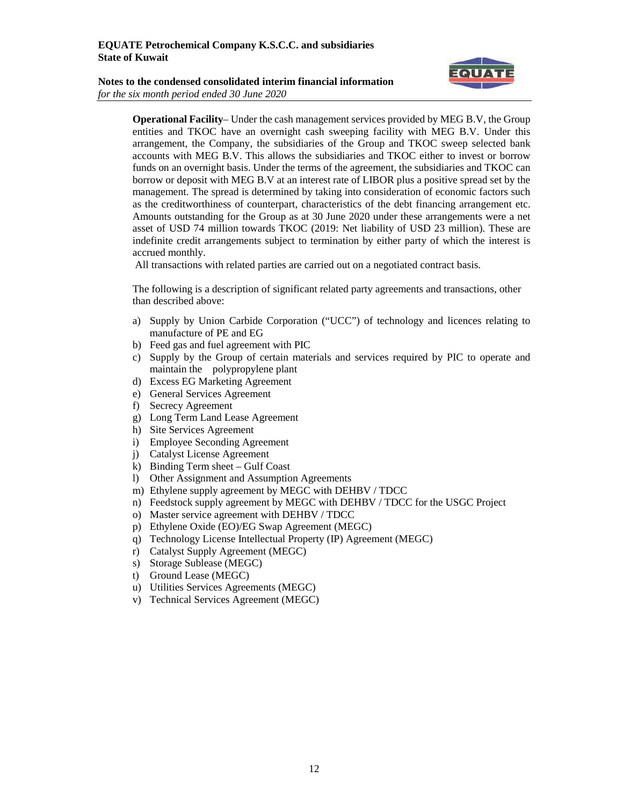



**Operational Facility**– Under the cash management services provided by MEG B.V, the Group entities and TKOC have an overnight cash sweeping facility with MEG B.V. Under this arrangement, the Company, the subsidiaries of the Group and TKOC sweep selected bank accounts with MEG B.V. This allows the subsidiaries and TKOC either to invest or borrow funds on an overnight basis. Under the terms of the agreement, the subsidiaries and TKOC can borrow or deposit with MEG B.V at an interest rate of LIBOR plus a positive spread set by the management. The spread is determined by taking into consideration of economic factors such as the creditworthiness of counterpart, characteristics of the debt financing arrangement etc. Amounts outstanding for the Group as at 30 June 2020 under these arrangements were a net asset of USD 74 million towards TKOC (2019: Net liability of USD 23 million). These are indefinite credit arrangements subject to termination by either party of which the interest is accrued monthly.

All transactions with related parties are carried out on a negotiated contract basis.

The following is a description of significant related party agreements and transactions, other than described above:

- a) Supply by Union Carbide Corporation ("UCC") of technology and licences relating to manufacture of PE and EG
- b) Feed gas and fuel agreement with PIC
- c) Supply by the Group of certain materials and services required by PIC to operate and maintain the polypropylene plant
- d) Excess EG Marketing Agreement
- e) General Services Agreement
- f) Secrecy Agreement
- g) Long Term Land Lease Agreement
- h) Site Services Agreement
- i) Employee Seconding Agreement
- j) Catalyst License Agreement
- k) Binding Term sheet Gulf Coast
- l) Other Assignment and Assumption Agreements
- m) Ethylene supply agreement by MEGC with DEHBV / TDCC
- n) Feedstock supply agreement by MEGC with DEHBV / TDCC for the USGC Project
- o) Master service agreement with DEHBV / TDCC
- p) Ethylene Oxide (EO)/EG Swap Agreement (MEGC)
- q) Technology License Intellectual Property (IP) Agreement (MEGC)
- r) Catalyst Supply Agreement (MEGC)
- s) Storage Sublease (MEGC)
- t) Ground Lease (MEGC)
- u) Utilities Services Agreements (MEGC)
- v) Technical Services Agreement (MEGC)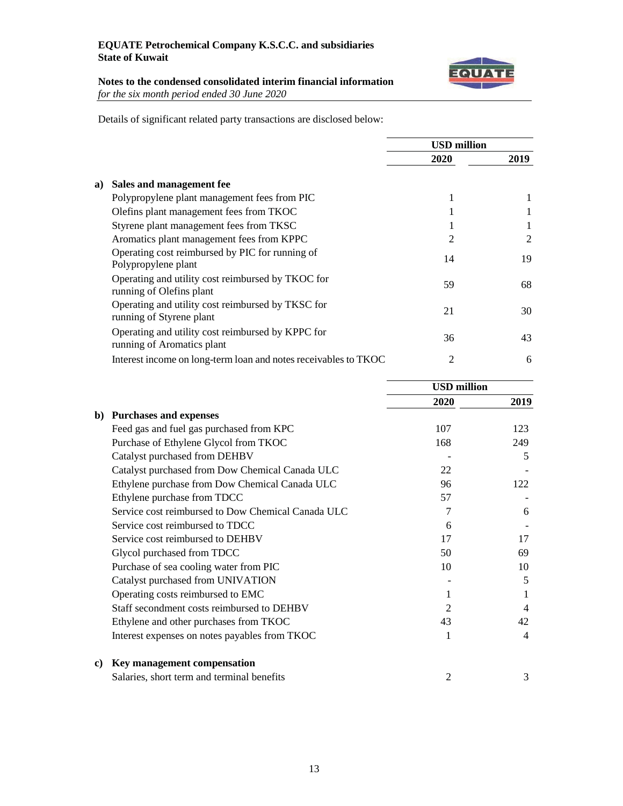

# **Notes to the condensed consolidated interim financial information** *for the six month period ended 30 June 2020*

Details of significant related party transactions are disclosed below:

|                                                                                 |                | <b>USD million</b> |  |  |
|---------------------------------------------------------------------------------|----------------|--------------------|--|--|
|                                                                                 | 2020           | 2019               |  |  |
| Sales and management fee<br>a)                                                  |                |                    |  |  |
| Polypropylene plant management fees from PIC                                    | 1              |                    |  |  |
| Olefins plant management fees from TKOC                                         | 1              |                    |  |  |
| Styrene plant management fees from TKSC                                         |                |                    |  |  |
| Aromatics plant management fees from KPPC                                       | $\overline{2}$ | 2                  |  |  |
| Operating cost reimbursed by PIC for running of<br>Polypropylene plant          | 14             | 19                 |  |  |
| Operating and utility cost reimbursed by TKOC for<br>running of Olefins plant   | 59             | 68                 |  |  |
| Operating and utility cost reimbursed by TKSC for<br>running of Styrene plant   | 21             | 30                 |  |  |
| Operating and utility cost reimbursed by KPPC for<br>running of Aromatics plant | 36             | 43                 |  |  |
| Interest income on long-term loan and notes receivables to TKOC                 | $\overline{2}$ | 6                  |  |  |

|    |                                                    | <b>USD</b> million |      |
|----|----------------------------------------------------|--------------------|------|
|    |                                                    | 2020               | 2019 |
| b) | <b>Purchases and expenses</b>                      |                    |      |
|    | Feed gas and fuel gas purchased from KPC           | 107                | 123  |
|    | Purchase of Ethylene Glycol from TKOC              | 168                | 249  |
|    | Catalyst purchased from DEHBV                      |                    | 5    |
|    | Catalyst purchased from Dow Chemical Canada ULC    | 22                 |      |
|    | Ethylene purchase from Dow Chemical Canada ULC     | 96                 | 122  |
|    | Ethylene purchase from TDCC                        | 57                 |      |
|    | Service cost reimbursed to Dow Chemical Canada ULC | 7                  | 6    |
|    | Service cost reimbursed to TDCC                    | 6                  |      |
|    | Service cost reimbursed to DEHBV                   | 17                 | 17   |
|    | Glycol purchased from TDCC                         | 50                 | 69   |
|    | Purchase of sea cooling water from PIC             | 10                 | 10   |
|    | Catalyst purchased from UNIVATION                  |                    | 5    |
|    | Operating costs reimbursed to EMC                  | 1                  |      |
|    | Staff secondment costs reimbursed to DEHBV         | 2                  | 4    |
|    | Ethylene and other purchases from TKOC             | 43                 | 42   |
|    | Interest expenses on notes payables from TKOC      |                    | 4    |
| C) | Key management compensation                        |                    |      |
|    | Salaries, short term and terminal benefits         | 2                  | 3    |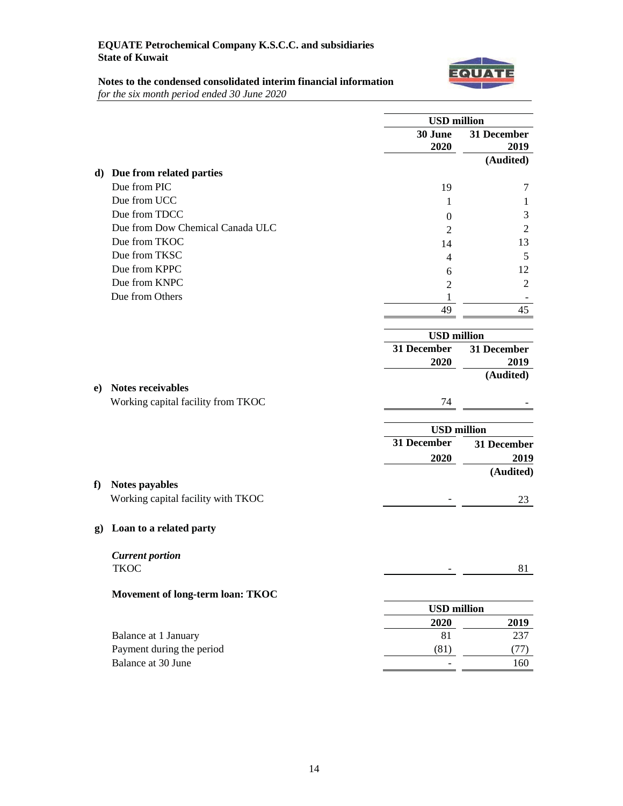

# **Notes to the condensed consolidated interim financial information** *for the six month period ended 30 June 2020*

|              |                                    | <b>USD</b> million |                     |
|--------------|------------------------------------|--------------------|---------------------|
|              |                                    | 30 June<br>2020    | 31 December<br>2019 |
|              |                                    |                    | (Audited)           |
|              | d) Due from related parties        |                    |                     |
|              | Due from PIC                       | 19                 | 7                   |
|              | Due from UCC                       | 1                  | 1                   |
|              | Due from TDCC                      | 0                  | 3                   |
|              | Due from Dow Chemical Canada ULC   | $\overline{c}$     | $\mathfrak{2}$      |
|              | Due from TKOC                      | 14                 | 13                  |
|              | Due from TKSC                      | 4                  | 5                   |
|              | Due from KPPC                      | 6                  | 12                  |
|              | Due from KNPC                      | $\overline{2}$     | $\overline{2}$      |
|              | Due from Others                    | 1                  |                     |
|              |                                    | 49                 | 45                  |
|              |                                    | <b>USD</b> million |                     |
|              |                                    | 31 December        | 31 December         |
|              |                                    | 2020               | 2019                |
|              |                                    |                    | (Audited)           |
| e)           | Notes receivables                  |                    |                     |
|              | Working capital facility from TKOC | 74                 |                     |
|              |                                    | <b>USD</b> million |                     |
|              |                                    | 31 December        | 31 December         |
|              |                                    | 2020               | 2019                |
|              |                                    |                    | (Audited)           |
| f            | Notes payables                     |                    |                     |
|              | Working capital facility with TKOC |                    | 23                  |
| $\mathbf{g}$ | Loan to a related party            |                    |                     |
|              | <b>Current portion</b>             |                    |                     |
|              | <b>TKOC</b>                        |                    | 81                  |
|              | Movement of long-term loan: TKOC   |                    |                     |
|              |                                    | <b>USD</b> million |                     |
|              |                                    | 2020               | 2019                |
|              | Balance at 1 January               | 81                 | 237                 |
|              | Payment during the period          | (81)               | (77)                |
|              | Balance at 30 June                 |                    | 160                 |
|              |                                    |                    |                     |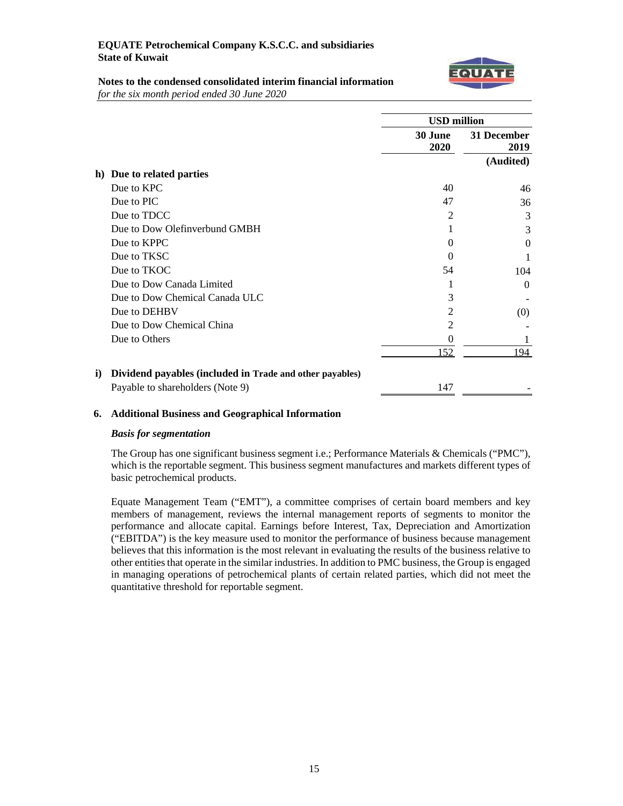

# **Notes to the condensed consolidated interim financial information**

*for the six month period ended 30 June 2020*

|                                                                      | <b>USD</b> million |                     |
|----------------------------------------------------------------------|--------------------|---------------------|
|                                                                      | 30 June<br>2020    | 31 December<br>2019 |
|                                                                      |                    | (Audited)           |
| Due to related parties<br>h)                                         |                    |                     |
| Due to KPC                                                           | 40                 | 46                  |
| Due to PIC                                                           | 47                 | 36                  |
| Due to TDCC                                                          | 2                  | 3                   |
| Due to Dow Olefinverbund GMBH                                        |                    | 3                   |
| Due to KPPC                                                          | 0                  | $\Omega$            |
| Due to TKSC                                                          | 0                  |                     |
| Due to TKOC                                                          | 54                 | 104                 |
| Due to Dow Canada Limited                                            | 1                  | $\Omega$            |
| Due to Dow Chemical Canada ULC                                       | 3                  |                     |
| Due to DEHBV                                                         | $\overline{c}$     | (0)                 |
| Due to Dow Chemical China                                            | $\overline{2}$     |                     |
| Due to Others                                                        | $\theta$           |                     |
|                                                                      | 152                | 194                 |
| Dividend payables (included in Trade and other payables)<br>$\bf i)$ |                    |                     |
| Payable to shareholders (Note 9)                                     | 147                |                     |

# **6. Additional Business and Geographical Information**

### *Basis for segmentation*

The Group has one significant business segment i.e.; Performance Materials & Chemicals ("PMC"), which is the reportable segment. This business segment manufactures and markets different types of basic petrochemical products.

Equate Management Team ("EMT"), a committee comprises of certain board members and key members of management, reviews the internal management reports of segments to monitor the performance and allocate capital. Earnings before Interest, Tax, Depreciation and Amortization ("EBITDA") is the key measure used to monitor the performance of business because management believes that this information is the most relevant in evaluating the results of the business relative to other entities that operate in the similar industries. In addition to PMC business, the Group is engaged in managing operations of petrochemical plants of certain related parties, which did not meet the quantitative threshold for reportable segment.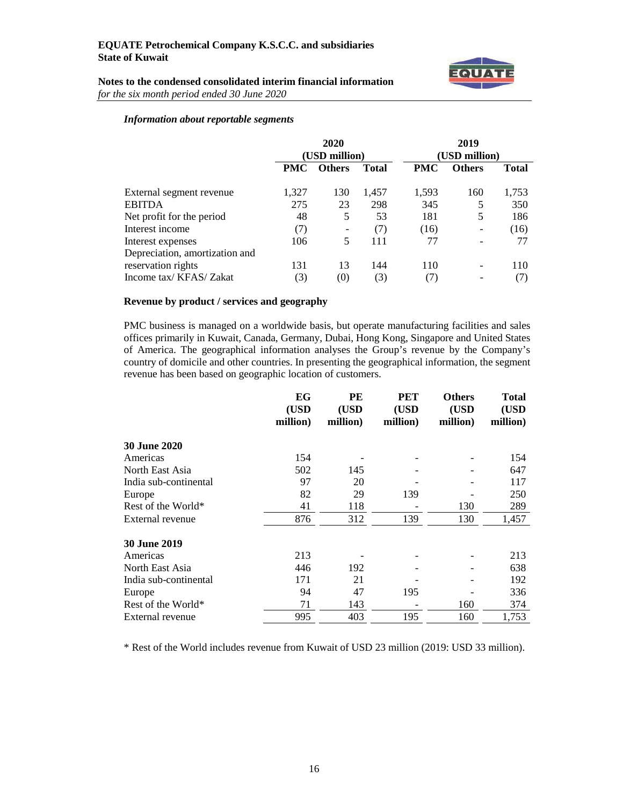

# **Notes to the condensed consolidated interim financial information** *for the six month period ended 30 June 2020*

# *Information about reportable segments*

|                                | 2020<br>(USD million) |               | 2019<br>(USD million) |            |               |              |
|--------------------------------|-----------------------|---------------|-----------------------|------------|---------------|--------------|
|                                | <b>PMC</b>            | <b>Others</b> | <b>Total</b>          | <b>PMC</b> | <b>Others</b> | <b>Total</b> |
| External segment revenue       | 1,327                 | 130           | 1,457                 | 1,593      | 160           | 1,753        |
| <b>EBITDA</b>                  | 275                   | 23            | 298                   | 345        | 5             | 350          |
| Net profit for the period      | 48                    | 5             | 53                    | 181        | 5             | 186          |
| Interest income                | (7)                   |               | (7)                   | (16)       |               | (16)         |
| Interest expenses              | 106                   | 5             | 111                   | 77         |               | 77           |
| Depreciation, amortization and |                       |               |                       |            |               |              |
| reservation rights             | 131                   | 13            | 144                   | 110        | -             | 110          |
| Income tax/KFAS/Zakat          | (3)                   | (0)           | (3)                   | (7)        | -             | (7)          |

# **Revenue by product / services and geography**

PMC business is managed on a worldwide basis, but operate manufacturing facilities and sales offices primarily in Kuwait, Canada, Germany, Dubai, Hong Kong, Singapore and United States of America. The geographical information analyses the Group's revenue by the Company's country of domicile and other countries. In presenting the geographical information, the segment revenue has been based on geographic location of customers.

|                       | EG<br>(USD<br>million) | PE<br>(USD<br>million) | <b>PET</b><br>(USD<br>million) | <b>Others</b><br>(USD<br>million) | <b>Total</b><br>(USD<br>million) |
|-----------------------|------------------------|------------------------|--------------------------------|-----------------------------------|----------------------------------|
| <b>30 June 2020</b>   |                        |                        |                                |                                   |                                  |
| Americas              | 154                    |                        |                                |                                   | 154                              |
| North East Asia       | 502                    | 145                    |                                |                                   | 647                              |
| India sub-continental | 97                     | 20                     |                                |                                   | 117                              |
| Europe                | 82                     | 29                     | 139                            |                                   | 250                              |
| Rest of the World*    | 41                     | 118                    |                                | 130                               | 289                              |
| External revenue      | 876                    | 312                    | 139                            | 130                               | 1,457                            |
| <b>30 June 2019</b>   |                        |                        |                                |                                   |                                  |
| Americas              | 213                    |                        |                                |                                   | 213                              |
| North East Asia       | 446                    | 192                    |                                |                                   | 638                              |
| India sub-continental | 171                    | 21                     |                                |                                   | 192                              |
| Europe                | 94                     | 47                     | 195                            |                                   | 336                              |
| Rest of the World*    | 71                     | 143                    |                                | 160                               | 374                              |
| External revenue      | 995                    | 403                    | 195                            | 160                               | 1,753                            |

\* Rest of the World includes revenue from Kuwait of USD 23 million (2019: USD 33 million).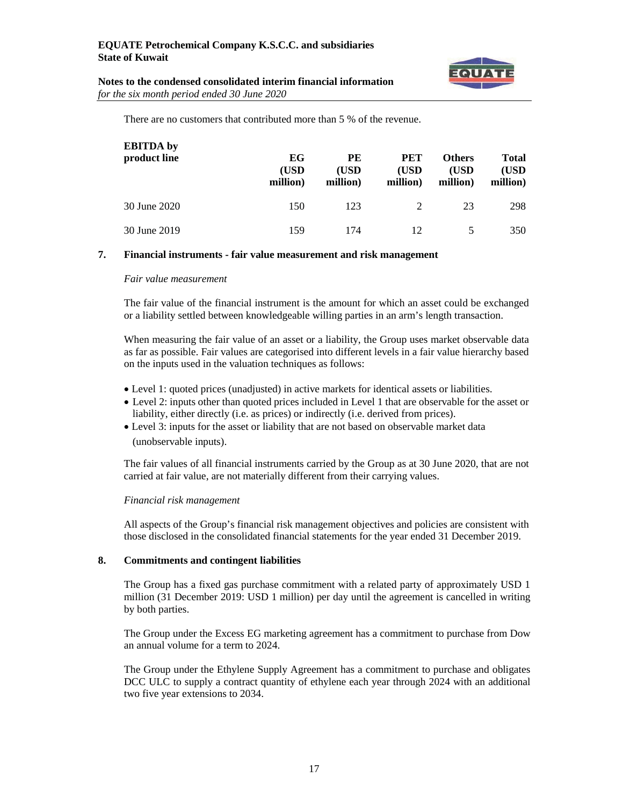

| Notes to the condensed consolidated interim financial information |  |
|-------------------------------------------------------------------|--|
| for the six month period ended 30 June 2020                       |  |

There are no customers that contributed more than 5 % of the revenue.

| <b>EBITDA</b> by<br>product line | EG<br>(USD<br>million) | PE<br>(USD<br>million) | <b>PET</b><br>(USD)<br>million) | <b>Others</b><br>(USD<br>million) | <b>Total</b><br>(USD<br>million) |
|----------------------------------|------------------------|------------------------|---------------------------------|-----------------------------------|----------------------------------|
| 30 June 2020                     | 150                    | 123                    | 2                               | 23                                | 298                              |
| 30 June 2019                     | 159                    | 174                    | 12                              |                                   | 350                              |

# **7. Financial instruments - fair value measurement and risk management**

#### *Fair value measurement*

The fair value of the financial instrument is the amount for which an asset could be exchanged or a liability settled between knowledgeable willing parties in an arm's length transaction.

When measuring the fair value of an asset or a liability, the Group uses market observable data as far as possible. Fair values are categorised into different levels in a fair value hierarchy based on the inputs used in the valuation techniques as follows:

- Level 1: quoted prices (unadjusted) in active markets for identical assets or liabilities.
- Level 2: inputs other than quoted prices included in Level 1 that are observable for the asset or liability, either directly (i.e. as prices) or indirectly (i.e. derived from prices).
- Level 3: inputs for the asset or liability that are not based on observable market data (unobservable inputs).

The fair values of all financial instruments carried by the Group as at 30 June 2020, that are not carried at fair value, are not materially different from their carrying values.

### *Financial risk management*

All aspects of the Group's financial risk management objectives and policies are consistent with those disclosed in the consolidated financial statements for the year ended 31 December 2019.

### **8. Commitments and contingent liabilities**

The Group has a fixed gas purchase commitment with a related party of approximately USD 1 million (31 December 2019: USD 1 million) per day until the agreement is cancelled in writing by both parties.

The Group under the Excess EG marketing agreement has a commitment to purchase from Dow an annual volume for a term to 2024.

The Group under the Ethylene Supply Agreement has a commitment to purchase and obligates DCC ULC to supply a contract quantity of ethylene each year through 2024 with an additional two five year extensions to 2034.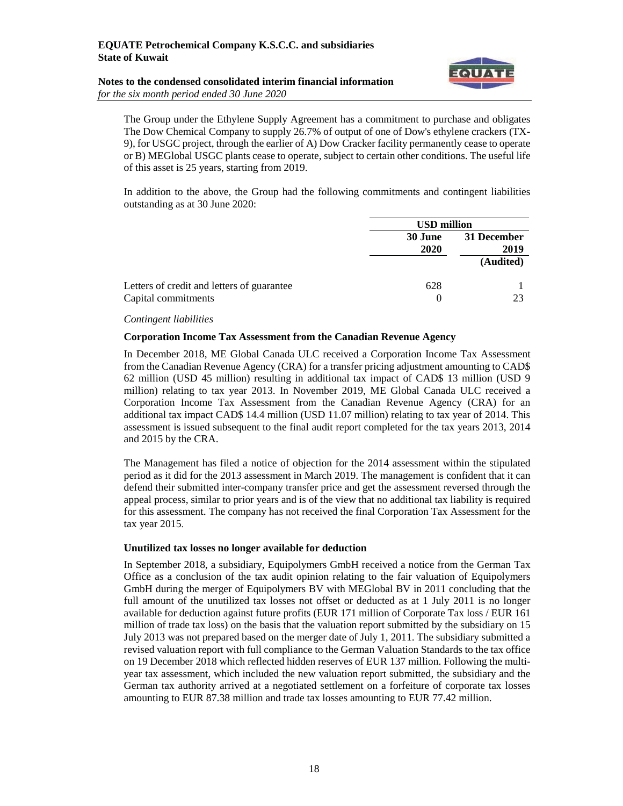# **Notes to the condensed consolidated interim financial information** *for the six month period ended 30 June 2020*



The Group under the Ethylene Supply Agreement has a commitment to purchase and obligates The Dow Chemical Company to supply 26.7% of output of one of Dow's ethylene crackers (TX-9), for USGC project, through the earlier of A) Dow Cracker facility permanently cease to operate or B) MEGlobal USGC plants cease to operate, subject to certain other conditions. The useful life of this asset is 25 years, starting from 2019.

In addition to the above, the Group had the following commitments and contingent liabilities outstanding as at 30 June 2020:

|                                                                   | <b>USD million</b>     |                     |  |
|-------------------------------------------------------------------|------------------------|---------------------|--|
|                                                                   | <b>30 June</b><br>2020 | 31 December<br>2019 |  |
|                                                                   |                        | (Audited)           |  |
| Letters of credit and letters of guarantee<br>Capital commitments | 628<br>$\theta$        | 23                  |  |

#### *Contingent liabilities*

#### **Corporation Income Tax Assessment from the Canadian Revenue Agency**

In December 2018, ME Global Canada ULC received a Corporation Income Tax Assessment from the Canadian Revenue Agency (CRA) for a transfer pricing adjustment amounting to CAD\$ 62 million (USD 45 million) resulting in additional tax impact of CAD\$ 13 million (USD 9 million) relating to tax year 2013. In November 2019, ME Global Canada ULC received a Corporation Income Tax Assessment from the Canadian Revenue Agency (CRA) for an additional tax impact CAD\$ 14.4 million (USD 11.07 million) relating to tax year of 2014. This assessment is issued subsequent to the final audit report completed for the tax years 2013, 2014 and 2015 by the CRA.

The Management has filed a notice of objection for the 2014 assessment within the stipulated period as it did for the 2013 assessment in March 2019. The management is confident that it can defend their submitted inter-company transfer price and get the assessment reversed through the appeal process, similar to prior years and is of the view that no additional tax liability is required for this assessment. The company has not received the final Corporation Tax Assessment for the tax year 2015.

### **Unutilized tax losses no longer available for deduction**

In September 2018, a subsidiary, Equipolymers GmbH received a notice from the German Tax Office as a conclusion of the tax audit opinion relating to the fair valuation of Equipolymers GmbH during the merger of Equipolymers BV with MEGlobal BV in 2011 concluding that the full amount of the unutilized tax losses not offset or deducted as at 1 July 2011 is no longer available for deduction against future profits (EUR 171 million of Corporate Tax loss / EUR 161 million of trade tax loss) on the basis that the valuation report submitted by the subsidiary on 15 July 2013 was not prepared based on the merger date of July 1, 2011. The subsidiary submitted a revised valuation report with full compliance to the German Valuation Standards to the tax office on 19 December 2018 which reflected hidden reserves of EUR 137 million. Following the multiyear tax assessment, which included the new valuation report submitted, the subsidiary and the German tax authority arrived at a negotiated settlement on a forfeiture of corporate tax losses amounting to EUR 87.38 million and trade tax losses amounting to EUR 77.42 million.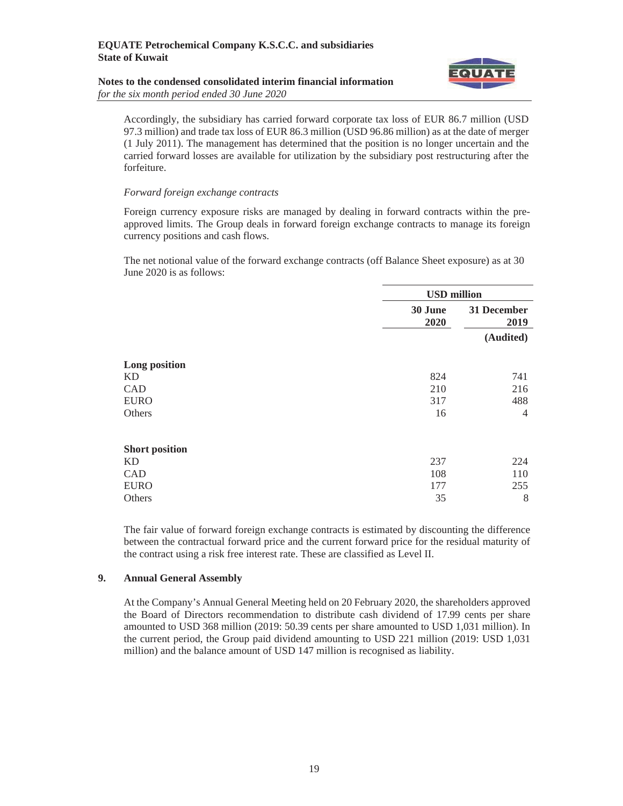#### **Notes to the condensed consolidated interim financial information**  *for the six month period ended 30 June 2020*



Accordingly, the subsidiary has carried forward corporate tax loss of EUR 86.7 million (USD 97.3 million) and trade tax loss of EUR 86.3 million (USD 96.86 million) as at the date of merger (1 July 2011). The management has determined that the position is no longer uncertain and the carried forward losses are available for utilization by the subsidiary post restructuring after the forfeiture.

#### *Forward foreign exchange contracts*

Foreign currency exposure risks are managed by dealing in forward contracts within the preapproved limits. The Group deals in forward foreign exchange contracts to manage its foreign currency positions and cash flows.

The net notional value of the forward exchange contracts (off Balance Sheet exposure) as at 30 June 2020 is as follows:

|                       | <b>USD</b> million |                     |  |
|-----------------------|--------------------|---------------------|--|
|                       | 30 June<br>2020    | 31 December<br>2019 |  |
|                       |                    | (Audited)           |  |
| Long position         |                    |                     |  |
| <b>KD</b>             | 824                | 741                 |  |
| CAD                   | 210                | 216                 |  |
| <b>EURO</b>           | 317                | 488                 |  |
| Others                | 16                 | $\overline{4}$      |  |
| <b>Short position</b> |                    |                     |  |
| <b>KD</b>             | 237                | 224                 |  |
| CAD                   | 108                | 110                 |  |
| <b>EURO</b>           | 177                | 255                 |  |
| Others                | 35                 | 8                   |  |

The fair value of forward foreign exchange contracts is estimated by discounting the difference between the contractual forward price and the current forward price for the residual maturity of the contract using a risk free interest rate. These are classified as Level II.

### **9. Annual General Assembly**

At the Company's Annual General Meeting held on 20 February 2020, the shareholders approved the Board of Directors recommendation to distribute cash dividend of 17.99 cents per share amounted to USD 368 million (2019: 50.39 cents per share amounted to USD 1,031 million). In the current period, the Group paid dividend amounting to USD 221 million (2019: USD 1,031 million) and the balance amount of USD 147 million is recognised as liability.